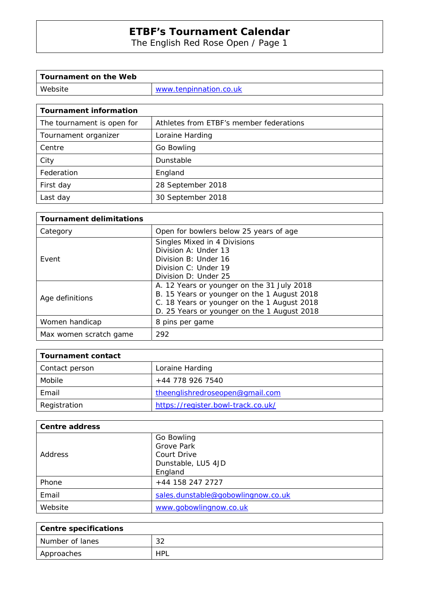The English Red Rose Open / Page 1

| Tournament on the Web |                        |
|-----------------------|------------------------|
| Website               | www.tenpinnation.co.uk |

| <b>Tournament information</b> |                                         |
|-------------------------------|-----------------------------------------|
| The tournament is open for    | Athletes from ETBF's member federations |
| Tournament organizer          | Loraine Harding                         |
| Centre                        | Go Bowling                              |
| City                          | Dunstable                               |
| Federation                    | England                                 |
| First day                     | 28 September 2018                       |
| Last day                      | 30 September 2018                       |

| <b>Tournament delimitations</b> |                                                                                                                                                                                         |
|---------------------------------|-----------------------------------------------------------------------------------------------------------------------------------------------------------------------------------------|
| Category                        | Open for bowlers below 25 years of age                                                                                                                                                  |
| Event                           | Singles Mixed in 4 Divisions<br>Division A: Under 13<br>Division B: Under 16<br>Division C: Under 19<br>Division D: Under 25                                                            |
| Age definitions                 | A. 12 Years or younger on the 31 July 2018<br>B. 15 Years or younger on the 1 August 2018<br>C. 18 Years or younger on the 1 August 2018<br>D. 25 Years or younger on the 1 August 2018 |
| Women handicap                  | 8 pins per game                                                                                                                                                                         |
| Max women scratch game          | 292                                                                                                                                                                                     |

| Tournament contact |                                    |
|--------------------|------------------------------------|
| Contact person     | Loraine Harding                    |
| Mobile             | +44 778 926 7540                   |
| Email              | theenglishredroseopen@gmail.com    |
| Registration       | https://register.bowl-track.co.uk/ |

| <b>Centre address</b> |                                    |
|-----------------------|------------------------------------|
| <b>Address</b>        | Go Bowling<br><b>Grove Park</b>    |
|                       | Court Drive                        |
|                       | Dunstable, LU5 4JD                 |
|                       | England                            |
| Phone                 | +44 158 247 2727                   |
| Email                 | sales.dunstable@gobowlingnow.co.uk |
| Website               | www.gobowlingnow.co.uk             |

| Centre specifications |            |
|-----------------------|------------|
| Number of lanes       | 32         |
| Approaches            | <b>HPL</b> |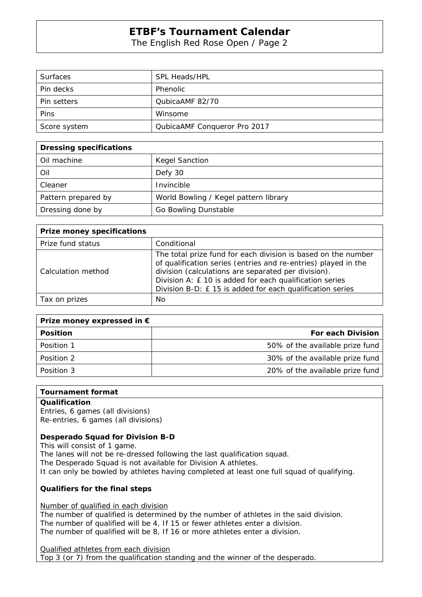The English Red Rose Open / Page 2

| <b>Surfaces</b> | SPL Heads/HPL                |
|-----------------|------------------------------|
| Pin decks       | Phenolic                     |
| Pin setters     | QubicaAMF 82/70              |
| Pins            | Winsome                      |
| Score system    | QubicaAMF Conqueror Pro 2017 |

| <b>Dressing specifications</b> |                                       |
|--------------------------------|---------------------------------------|
| Oil machine                    | <b>Kegel Sanction</b>                 |
| Oil                            | Defy 30                               |
| Cleaner                        | Invincible                            |
| Pattern prepared by            | World Bowling / Kegel pattern library |
| Dressing done by               | Go Bowling Dunstable                  |

| <b>Prize money specifications</b> |                                                                                                                                                                                                                                                                                                               |
|-----------------------------------|---------------------------------------------------------------------------------------------------------------------------------------------------------------------------------------------------------------------------------------------------------------------------------------------------------------|
| Prize fund status                 | Conditional                                                                                                                                                                                                                                                                                                   |
| Calculation method                | The total prize fund for each division is based on the number<br>of qualification series (entries and re-entries) played in the<br>division (calculations are separated per division).<br>Division A: £ 10 is added for each qualification series<br>Division B-D: £15 is added for each qualification series |
| Tax on prizes                     | No                                                                                                                                                                                                                                                                                                            |

| Prize money expressed in $\epsilon$ |                                 |
|-------------------------------------|---------------------------------|
| <b>Position</b>                     | <b>For each Division</b>        |
| Position 1                          | 50% of the available prize fund |
| Position 2                          | 30% of the available prize fund |
| Position 3                          | 20% of the available prize fund |

#### **Tournament format**

#### **Qualification**

Entries, 6 games (all divisions) Re-entries, 6 games (all divisions)

### **Desperado Squad for Division B-D**

This will consist of 1 game.

The lanes will not be re-dressed following the last qualification squad.

The Desperado Squad is not available for Division A athletes.

It can only be bowled by athletes having completed at least one full squad of qualifying.

### **Qualifiers for the final steps**

Number of qualified in each division

The number of qualified is determined by the number of athletes in the said division. The number of qualified will be 4, If 15 or fewer athletes enter a division. The number of qualified will be 8, If 16 or more athletes enter a division.

Qualified athletes from each division Top 3 (or 7) from the qualification standing and the winner of the desperado.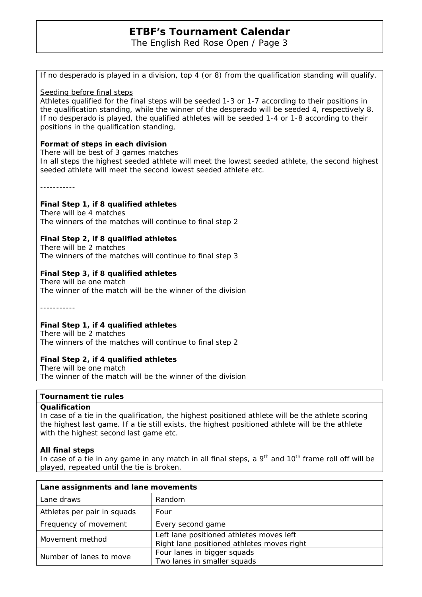The English Red Rose Open / Page 3

If no desperado is played in a division, top 4 (or 8) from the qualification standing will qualify.

Seeding before final steps

Athletes qualified for the final steps will be seeded 1-3 or 1-7 according to their positions in the qualification standing, while the winner of the desperado will be seeded 4, respectively 8. If no desperado is played, the qualified athletes will be seeded 1-4 or 1-8 according to their positions in the qualification standing,

#### **Format of steps in each division**

There will be best of 3 games matches In all steps the highest seeded athlete will meet the lowest seeded athlete, the second highest seeded athlete will meet the second lowest seeded athlete etc.

-----------

#### **Final Step 1, if 8 qualified athletes**

There will be 4 matches The winners of the matches will continue to final step 2

### **Final Step 2, if 8 qualified athletes**

There will be 2 matches The winners of the matches will continue to final step 3

### **Final Step 3, if 8 qualified athletes**

There will be one match The winner of the match will be the winner of the division

-----------

### **Final Step 1, if 4 qualified athletes**

There will be 2 matches The winners of the matches will continue to final step 2

### **Final Step 2, if 4 qualified athletes**

There will be one match The winner of the match will be the winner of the division

#### **Tournament tie rules**

#### **Qualification**

In case of a tie in the qualification, the highest positioned athlete will be the athlete scoring the highest last game. If a tie still exists, the highest positioned athlete will be the athlete with the highest second last game etc.

#### **All final steps**

In case of a tie in any game in any match in all final steps, a  $9<sup>th</sup>$  and  $10<sup>th</sup>$  frame roll off will be played, repeated until the tie is broken.

| Lane assignments and lane movements |                                                                                        |
|-------------------------------------|----------------------------------------------------------------------------------------|
| Lane draws                          | Random                                                                                 |
| Athletes per pair in squads         | Four                                                                                   |
| Frequency of movement               | Every second game                                                                      |
| Movement method                     | Left lane positioned athletes moves left<br>Right lane positioned athletes moves right |
| Number of lanes to move             | Four lanes in bigger squads<br>Two lanes in smaller squads                             |